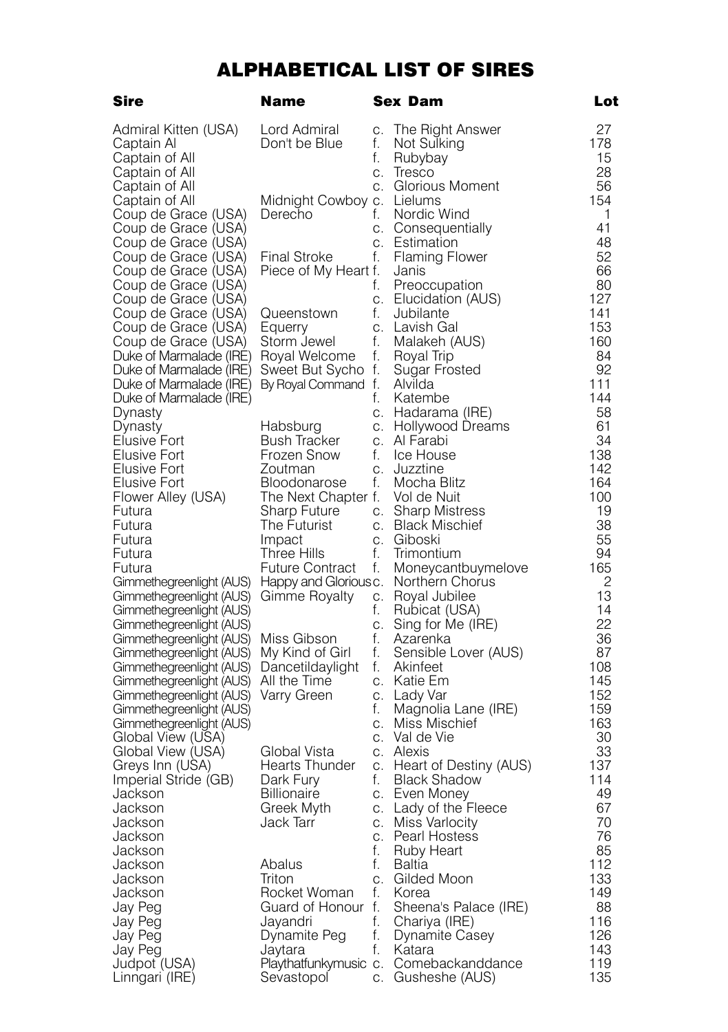## ALPHABETICAL LIST OF SIRES

| Sire                                                 | Name                                |          | <b>Sex Dam</b>                        | Lot        |
|------------------------------------------------------|-------------------------------------|----------|---------------------------------------|------------|
| Admiral Kitten (USA)                                 | Lord Admiral                        | C.       | The Right Answer                      | 27         |
| Captain Al                                           | Don't be Blue                       | f.       | Not Sulking                           | 178        |
| Captain of All                                       |                                     | f.       | Rubybay                               | 15         |
| Captain of All                                       |                                     | C.       | Iresco                                | 28         |
| Captain of All                                       |                                     |          | c. Glorious Moment                    | 56         |
| Captain of All                                       | Midnight Cowboy c. Lielums          |          |                                       | 154        |
| Coup de Grace (USA)                                  | Derecho                             | f.       | Nordic Wind                           | 1          |
| Coup de Grace (USA)                                  |                                     | C.       | Consequentially                       | 41         |
| Coup de Grace (USA)                                  |                                     | C.       | Estimation                            | 48         |
| Coup de Grace (USA)                                  | <b>Final Stroke</b>                 | f.       | <b>Flaming Flower</b>                 | 52         |
| Coup de Grace (USA)<br>Coup de Grace (USA)           | Piece of My Heart f.                | f.       | Janis<br>Preoccupation                | 66<br>80   |
| Coup de Grace (USA)                                  |                                     | C.       | Elucidation (AUS)                     | 127        |
| Coup de Grace (USA)                                  | Queenstown                          | f.       | Jubilante                             | 141        |
| Coup de Grace (USA)                                  | Equerry                             | C.       | Lavish Gal                            | 153        |
| Coup de Grace (USA)                                  | Storm Jewel                         | f.       | Malakeh (AUS)                         | 160        |
| Duke of Marmalade (IRE)                              | Royal Welcome                       | f.       | Royal Trip                            | 84         |
| Duke of Marmalade (IRE)                              | Sweet But Sycho f.                  |          | Sugar Frosted                         | 92         |
| Duke of Marmalade (IRE)                              | By Royal Command f.                 |          | Alvilda                               | 111        |
| Duke of Marmalade (IRE)                              |                                     | f.       | Katembe                               | 144        |
| Dynasty                                              |                                     | C.       | Hadarama (IRE)                        | 58         |
| Dynasty                                              | Habsburg                            | C.       | Hollywood Dreams                      | 61         |
| Elusive Fort                                         | Bush Tracker                        |          | c. Al Farabi                          | 34         |
| Elusive Fort<br>Elusive Fort                         | Frozen Snow                         | f.       | Ice House<br>c. Juzztine              | 138<br>142 |
| Elusive Fort                                         | Zoutman<br>Bloodonarose             | f.       | Mocha Blitz                           | 164        |
| Flower Alley (USA)                                   | The Next Chapter f.                 |          | Vol de Nuit                           | 100        |
| Futura                                               | Sharp Future                        |          | c. Sharp Mistress                     | 19         |
| Futura                                               | The Futurist                        |          | c. Black Mischief                     | 38         |
| Futura                                               | Impact                              |          | c. Giboski                            | 55         |
| Futura                                               | Three Hills                         | f.       | Trimontium                            | 94         |
| Futura                                               | Future Contract                     | f.       | Moneycantbuymelove                    | 165        |
| Gimmethegreenlight (AUS)                             | Happy and Glorious c.               |          | Northern Chorus                       | 2          |
| Gimmethegreenlight (AUS)                             | Gimme Royalty                       | C.       | Royal Jubilee                         | 13         |
| Gimmethegreenlight (AUS)                             |                                     | f.       | Rubicat (USA)                         | 14         |
| Gimmethegreenlight (AUS)                             |                                     | C.       | Sing for Me (IRE)                     | 22         |
| Gimmethegreenlight (AUS)                             | Miss Gibson                         | f.<br>f. | Azarenka                              | 36<br>87   |
| Gimmethegreenlight (AUS)<br>Gimmethegreenlight (AUS) | My Kind of Girl<br>Dancetildaylight | f.       | Sensible Lover (AUS)<br>Akinfeet      | 108        |
| Gimmethegreenlight (AUS)                             | All the Time                        |          | c. Katie Em                           | 145        |
| Gimmethegreenlight (AUS)                             | Varry Green                         |          | c. Lady Var                           | 152        |
| Gimmethegreenlight (AUS)                             |                                     | f.       | Magnolia Lane (IRE)                   | 159        |
| Gimmethegreenlight (AUS)                             |                                     | C.       | Miss Mischief                         | 163        |
| Global View (USA)                                    |                                     | C.       | Val de Vie                            | 30         |
| Global View (USA)                                    | Global Vista                        |          | c. Alexis                             | 33         |
| Greys Inn (USA)                                      | Hearts Thunder                      |          | c. Heart of Destiny (AUS)             | 137        |
| Imperial Stride (GB)                                 | Dark Fury                           | f.       | <b>Black Shadow</b>                   | 114        |
| Jackson                                              | <b>Billionaire</b>                  |          | c. Even Money                         | 49         |
| Jackson                                              | Greek Myth                          |          | c. Lady of the Fleece                 | 67         |
| Jackson<br>Jackson                                   | Jack Tarr                           |          | c. Miss Varlocity<br>c. Pearl Hostess | 70<br>76   |
| Jackson                                              |                                     | f.       | Ruby Heart                            | 85         |
| Jackson                                              | Abalus                              | f.       | Baltia                                | 112        |
| Jackson                                              | Triton                              |          | c. Gilded Moon                        | 133        |
| Jackson                                              | Rocket Woman                        | f.       | Korea                                 | 149        |
| Jay Peg                                              | Guard of Honour f.                  |          | Sheena's Palace (IRE)                 | 88         |
| Jay Peg                                              | Jayandri                            | f.       | Chariya (IRE)                         | 116        |
| Jay Peg                                              | Dynamite Peg                        | f.       | Dynamite Casey                        | 126        |
| Jay Peg                                              | Jaytara                             | f.       | Katara                                | 143        |
| Judpot (USA)                                         | Playthatfunkymusic c.               |          | Comebackanddance                      | 119        |
| Linngari (IRE)                                       | Sevastopol                          | C.       | Gusheshe (AUS)                        | 135        |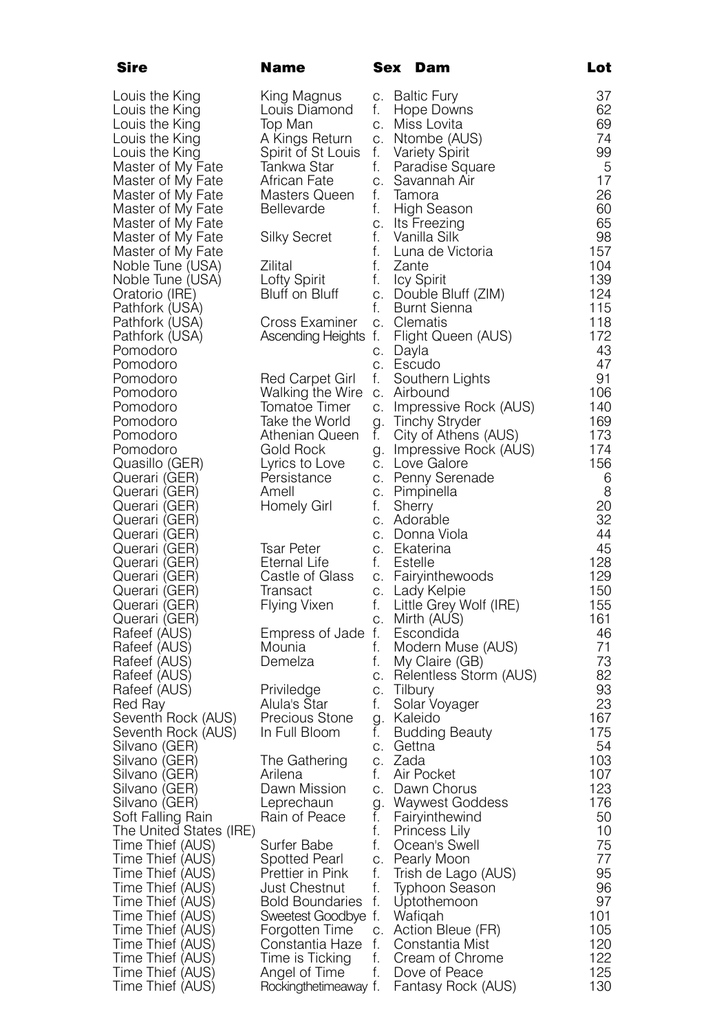| Sire                                 | Name                                 |          |          | Sex Dam                              | Lot        |
|--------------------------------------|--------------------------------------|----------|----------|--------------------------------------|------------|
| Louis the King                       | King Magnus                          |          |          | c. Baltic Fury                       | 37         |
| Louis the King                       | Louis Diamond                        | f.       |          | Hope Downs                           | 62         |
| Louis the King                       | Top Man                              |          |          | c. Miss Lovita                       | 69         |
| Louis the King                       | A Kings Return                       |          |          | c. Ntombe (AUS)                      | 74         |
| Louis the King                       | Spirit of St Louis f. Variety Spirit |          |          |                                      | 99         |
| Master of My Fate                    | Tankwa Star                          | f.       |          | Paradise Square                      | 5          |
| Master of My Fate                    | African Fate                         |          |          | c. Savannah Air                      | 17         |
| Master of My Fate                    | Masters Queen                        | f.       |          | Tamora                               | 26         |
| Master of My Fate                    | <b>Bellevarde</b>                    | f.       |          | High Season                          | 60         |
| Master of My Fate                    |                                      |          |          | c. Its Freezing                      | 65         |
| Master of My Fate                    | Silky Secret                         | f.       |          | Vanilla Silk                         | 98         |
| Master of My Fate                    |                                      | f.<br>f. |          | Luna de Victoria                     | 157<br>104 |
| Noble Tune (USA)<br>Noble Tune (USA) | Zilital<br>Lofty Spirit              | f.       | Zante    | Icy Spirit                           | 139        |
| Oratorio (IRE)                       | Bluff on Bluff                       |          |          | c. Double Bluff (ZIM)                | 124        |
| Pathfork (USA)                       |                                      |          |          | f. Burnt Sienna                      | 115        |
| Pathfork (USA)                       | Cross Examiner                       |          |          | c. Clematis                          | 118        |
| Pathfork (USA)                       | Ascending Heights f.                 |          |          | Flight Queen (AUS)                   | 172        |
| Pomodoro                             |                                      |          | c. Dayla |                                      | 43         |
| Pomodoro                             |                                      |          |          | c. Escudo                            | 47         |
| Pomodoro                             | Red Carpet Girl                      | f.       |          | Southern Lights                      | 91         |
| Pomodoro                             | Walking the Wire                     |          |          | c. Airbound                          | 106        |
| Pomodoro                             | Tomatoe Timer                        |          |          | c. Impressive Rock (AUS)             | 140        |
| Pomodoro                             | Take the World                       |          |          | g. Tinchy Stryder                    | 169        |
| Pomodoro                             | Athenian Queen                       | f.       |          | City of Athens (AUS)                 | 173        |
| Pomodoro                             | Gold Rock                            |          |          | g. Impressive Rock (AUS)             | 174        |
| Quasillo (GER)                       | Lyrics to Love                       |          |          | c. Love Galore                       | 156        |
| Querari (GER)                        | Persistance<br>Amell                 |          |          | c. Penny Serenade                    | 6<br>8     |
| Querari (GER)<br>Querari (GER)       | Homely Girl                          | f.       |          | c. Pimpinella<br>Sherry              | 20         |
| Querari (GER)                        |                                      |          |          | c. Adorable                          | 32         |
| Querari (GER)                        |                                      |          |          | c. Donna Viola                       | 44         |
| Querari (GER)                        | Tsar Peter                           |          |          | c. Ekaterina                         | 45         |
| Querari (GER)                        | Eternal Life                         |          |          | f. Estelle                           | 128        |
| Querari (GER)                        | Castle of Glass                      |          |          | c. Fairyinthewoods                   | 129        |
| Querari (GER)                        | Iransact                             |          |          | c. Lady Kelpie                       | 150        |
| Querari (GER)                        | Hlying Vixen                         |          |          | f. Little Grey Wolf (IRE)            | 155        |
| Querari (GER)                        |                                      |          |          | c. Mirth (AUS)                       | 161        |
| Rafeef (AUS)                         | Empress of Jade f.                   |          |          | Escondida                            | 46         |
| Rafeef (AUS)                         | Mounia                               | f.       |          | Modern Muse (AUS)                    | 71         |
| Rafeef (AUS)                         | Demelza                              | f.       |          | My Claire (GB)                       | 73<br>82   |
| Rafeef (AUS)<br>Rafeef (AUS)         | Priviledge                           | C.       |          | c. Relentless Storm (AUS)<br>Tilbury | 93         |
| Red Ray                              | Alula's Star                         | f.       |          | Solar Voyager                        | 23         |
| Seventh Rock (AUS)                   | Precious Stone                       |          |          | g. Kaleido                           | 167        |
| Seventh Rock (AUS)                   | In Full Bloom                        | f.       |          | Budding Beauty                       | 175        |
| Silvano (GER)                        |                                      |          |          | c. Gettna                            | 54         |
| Silvano (GER)                        | The Gathering                        |          | c. Zada  |                                      | 103        |
| Silvano (GER)                        | Arilena                              | f.       |          | Air Pocket                           | 107        |
| Silvano (GER)                        | Dawn Mission                         |          |          | c. Dawn Chorus                       | 123        |
| Silvano (GER)                        | Leprechaun                           | g.       |          | Waywest Goddess                      | 176        |
| Soft Falling Rain                    | Rain of Peace                        | t.       |          | Fairyinthewind                       | 50         |
| The United States (IRE)              |                                      | f.       |          | Princess Lily                        | 10         |
| Time Thief (AUS)                     | Surfer Babe                          | f.       |          | Ocean's Swell                        | 75         |
| Time Thief (AUS)                     | Spotted Pearl<br>Prettier in Pink    | C.<br>f. |          | Pearly Moon<br>Trish de Lago (AUS)   | 77<br>95   |
| Time Thief (AUS)<br>Time Thief (AUS) | Just Chestnut                        | f.       |          | Typhoon Season                       | 96         |
| Time Thief (AUS)                     | <b>Bold Boundaries</b>               | f.       |          | Uptothemoon                          | 97         |
| Time Thief (AUS)                     | Sweetest Goodbye f.                  |          |          | Wafiqah                              | 101        |
| Time Thief (AUS)                     | Forgotten Time                       | C.       |          | Action Bleue (FR)                    | 105        |
| Time Thief (AUS)                     | Constantia Haze                      | f.       |          | Constantia Mist                      | 120        |
| Time Thief (AUS)                     | Time is Ticking                      | f.       |          | Cream of Chrome                      | 122        |
| Time Thief (AUS)                     | Angel of Time                        | f.       |          | Dove of Peace                        | 125        |
| Time Thief (AUS)                     | Rockingthetimeaway f.                |          |          | Fantasy Rock (AUS)                   | 130        |